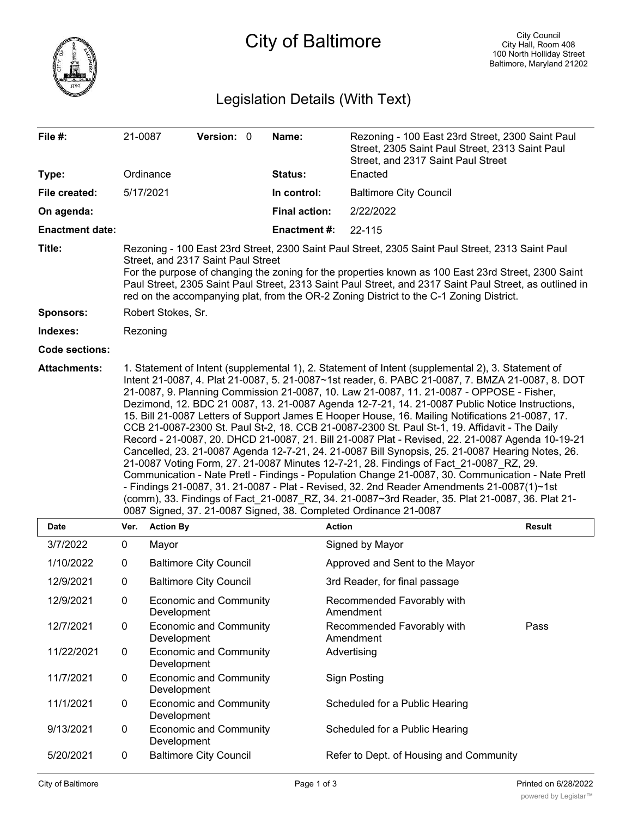

City of Baltimore

# Legislation Details (With Text)

| File $#$ :             | 21-0087                                                                                                                                                                                                                                                                                                                                                                                                                                                                                                                                                                                                                                                                                                                                                                                                                                                                                                                                                                                                                                                                                                                                                                                                                                                                              |                  | Version: 0 |  | Name:                | Rezoning - 100 East 23rd Street, 2300 Saint Paul<br>Street, 2305 Saint Paul Street, 2313 Saint Paul<br>Street, and 2317 Saint Paul Street |               |
|------------------------|--------------------------------------------------------------------------------------------------------------------------------------------------------------------------------------------------------------------------------------------------------------------------------------------------------------------------------------------------------------------------------------------------------------------------------------------------------------------------------------------------------------------------------------------------------------------------------------------------------------------------------------------------------------------------------------------------------------------------------------------------------------------------------------------------------------------------------------------------------------------------------------------------------------------------------------------------------------------------------------------------------------------------------------------------------------------------------------------------------------------------------------------------------------------------------------------------------------------------------------------------------------------------------------|------------------|------------|--|----------------------|-------------------------------------------------------------------------------------------------------------------------------------------|---------------|
| Type:                  |                                                                                                                                                                                                                                                                                                                                                                                                                                                                                                                                                                                                                                                                                                                                                                                                                                                                                                                                                                                                                                                                                                                                                                                                                                                                                      | Ordinance        |            |  | Status:              | Enacted                                                                                                                                   |               |
| File created:          | 5/17/2021                                                                                                                                                                                                                                                                                                                                                                                                                                                                                                                                                                                                                                                                                                                                                                                                                                                                                                                                                                                                                                                                                                                                                                                                                                                                            |                  |            |  | In control:          | <b>Baltimore City Council</b>                                                                                                             |               |
| On agenda:             |                                                                                                                                                                                                                                                                                                                                                                                                                                                                                                                                                                                                                                                                                                                                                                                                                                                                                                                                                                                                                                                                                                                                                                                                                                                                                      |                  |            |  | <b>Final action:</b> | 2/22/2022                                                                                                                                 |               |
| <b>Enactment date:</b> |                                                                                                                                                                                                                                                                                                                                                                                                                                                                                                                                                                                                                                                                                                                                                                                                                                                                                                                                                                                                                                                                                                                                                                                                                                                                                      |                  |            |  | <b>Enactment #:</b>  | 22-115                                                                                                                                    |               |
| Title:                 | Rezoning - 100 East 23rd Street, 2300 Saint Paul Street, 2305 Saint Paul Street, 2313 Saint Paul<br>Street, and 2317 Saint Paul Street<br>For the purpose of changing the zoning for the properties known as 100 East 23rd Street, 2300 Saint<br>Paul Street, 2305 Saint Paul Street, 2313 Saint Paul Street, and 2317 Saint Paul Street, as outlined in<br>red on the accompanying plat, from the OR-2 Zoning District to the C-1 Zoning District.                                                                                                                                                                                                                                                                                                                                                                                                                                                                                                                                                                                                                                                                                                                                                                                                                                  |                  |            |  |                      |                                                                                                                                           |               |
| <b>Sponsors:</b>       | Robert Stokes, Sr.                                                                                                                                                                                                                                                                                                                                                                                                                                                                                                                                                                                                                                                                                                                                                                                                                                                                                                                                                                                                                                                                                                                                                                                                                                                                   |                  |            |  |                      |                                                                                                                                           |               |
| Indexes:               | Rezoning                                                                                                                                                                                                                                                                                                                                                                                                                                                                                                                                                                                                                                                                                                                                                                                                                                                                                                                                                                                                                                                                                                                                                                                                                                                                             |                  |            |  |                      |                                                                                                                                           |               |
| Code sections:         |                                                                                                                                                                                                                                                                                                                                                                                                                                                                                                                                                                                                                                                                                                                                                                                                                                                                                                                                                                                                                                                                                                                                                                                                                                                                                      |                  |            |  |                      |                                                                                                                                           |               |
| <b>Attachments:</b>    | 1. Statement of Intent (supplemental 1), 2. Statement of Intent (supplemental 2), 3. Statement of<br>Intent 21-0087, 4. Plat 21-0087, 5. 21-0087~1st reader, 6. PABC 21-0087, 7. BMZA 21-0087, 8. DOT<br>21-0087, 9. Planning Commission 21-0087, 10. Law 21-0087, 11. 21-0087 - OPPOSE - Fisher,<br>Dezimond, 12. BDC 21 0087, 13. 21-0087 Agenda 12-7-21, 14. 21-0087 Public Notice Instructions,<br>15. Bill 21-0087 Letters of Support James E Hooper House, 16. Mailing Notifications 21-0087, 17.<br>CCB 21-0087-2300 St. Paul St-2, 18. CCB 21-0087-2300 St. Paul St-1, 19. Affidavit - The Daily<br>Record - 21-0087, 20. DHCD 21-0087, 21. Bill 21-0087 Plat - Revised, 22. 21-0087 Agenda 10-19-21<br>Cancelled, 23. 21-0087 Agenda 12-7-21, 24. 21-0087 Bill Synopsis, 25. 21-0087 Hearing Notes, 26.<br>21-0087 Voting Form, 27. 21-0087 Minutes 12-7-21, 28. Findings of Fact 21-0087 RZ, 29.<br>Communication - Nate Pretl - Findings - Population Change 21-0087, 30. Communication - Nate Pretl<br>- Findings 21-0087, 31. 21-0087 - Plat - Revised, 32. 2nd Reader Amendments 21-0087(1)~1st<br>(comm), 33. Findings of Fact 21-0087 RZ, 34. 21-0087~3rd Reader, 35. Plat 21-0087, 36. Plat 21-<br>0087 Signed, 37. 21-0087 Signed, 38. Completed Ordinance 21-0087 |                  |            |  |                      |                                                                                                                                           |               |
| <b>Date</b>            | Ver.                                                                                                                                                                                                                                                                                                                                                                                                                                                                                                                                                                                                                                                                                                                                                                                                                                                                                                                                                                                                                                                                                                                                                                                                                                                                                 | <b>Action By</b> |            |  | <b>Action</b>        |                                                                                                                                           | <b>Result</b> |
| 3/7/2022               | $\Omega$                                                                                                                                                                                                                                                                                                                                                                                                                                                                                                                                                                                                                                                                                                                                                                                                                                                                                                                                                                                                                                                                                                                                                                                                                                                                             | Mavor            |            |  |                      | Signed by Mayor                                                                                                                           |               |

| pulv       |              | AVUVIL PY                                    | Avuvu                                   | 1109UR |
|------------|--------------|----------------------------------------------|-----------------------------------------|--------|
| 3/7/2022   | 0            | Mayor                                        | Signed by Mayor                         |        |
| 1/10/2022  | $\mathbf 0$  | <b>Baltimore City Council</b>                | Approved and Sent to the Mayor          |        |
| 12/9/2021  | 0            | <b>Baltimore City Council</b>                | 3rd Reader, for final passage           |        |
| 12/9/2021  | 0            | <b>Economic and Community</b><br>Development | Recommended Favorably with<br>Amendment |        |
| 12/7/2021  | 0            | <b>Economic and Community</b><br>Development | Recommended Favorably with<br>Amendment | Pass   |
| 11/22/2021 | $\mathbf{0}$ | <b>Economic and Community</b><br>Development | Advertising                             |        |
| 11/7/2021  | $\mathbf{0}$ | <b>Economic and Community</b><br>Development | <b>Sign Posting</b>                     |        |
| 11/1/2021  | 0            | <b>Economic and Community</b><br>Development | Scheduled for a Public Hearing          |        |
| 9/13/2021  | 0            | <b>Economic and Community</b><br>Development | Scheduled for a Public Hearing          |        |
| 5/20/2021  | 0            | <b>Baltimore City Council</b>                | Refer to Dept. of Housing and Community |        |
|            |              |                                              |                                         |        |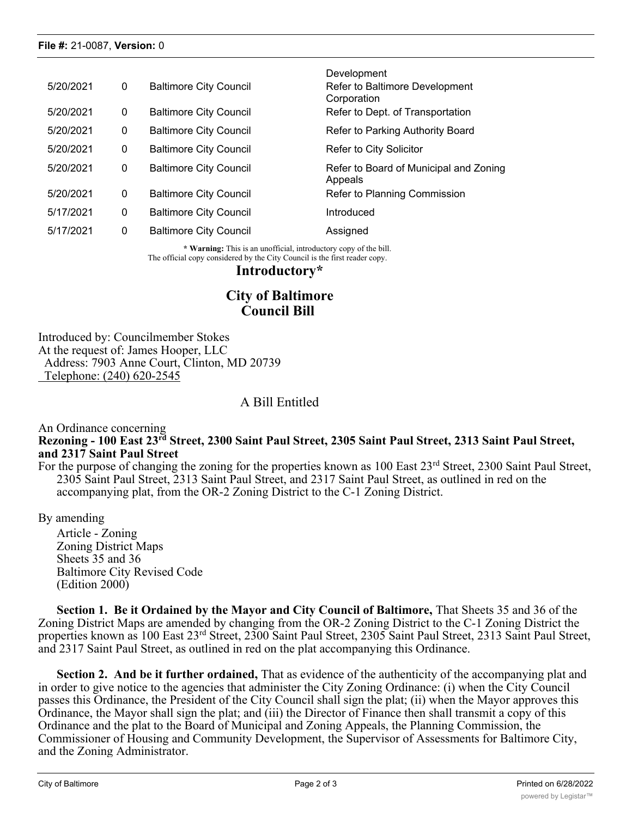#### **File #:** 21-0087, **Version:** 0

| 0 | <b>Baltimore City Council</b> | Development<br>Refer to Baltimore Development<br>Corporation |
|---|-------------------------------|--------------------------------------------------------------|
| 0 | <b>Baltimore City Council</b> | Refer to Dept. of Transportation                             |
| 0 | <b>Baltimore City Council</b> | Refer to Parking Authority Board                             |
| 0 | <b>Baltimore City Council</b> | Refer to City Solicitor                                      |
| 0 | <b>Baltimore City Council</b> | Refer to Board of Municipal and Zoning<br>Appeals            |
| 0 | <b>Baltimore City Council</b> | Refer to Planning Commission                                 |
| 0 | <b>Baltimore City Council</b> | Introduced                                                   |
| 0 | <b>Baltimore City Council</b> | Assigned                                                     |
|   |                               |                                                              |

**\* Warning:** This is an unofficial, introductory copy of the bill. The official copy considered by the City Council is the first reader copy.

### **Introductory\***

# **City of Baltimore Council Bill**

Introduced by: Councilmember Stokes At the request of: James Hooper, LLC Address: 7903 Anne Court, Clinton, MD 20739 Telephone: (240) 620-2545

## A Bill Entitled

### An Ordinance concerning **Rezoning - 100 East 23rd Street, 2300 Saint Paul Street, 2305 Saint Paul Street, 2313 Saint Paul Street, and 2317 Saint Paul Street**

For the purpose of changing the zoning for the properties known as 100 East 23<sup>rd</sup> Street, 2300 Saint Paul Street, 2305 Saint Paul Street, 2313 Saint Paul Street, and 2317 Saint Paul Street, as outlined in red on the accompanying plat, from the OR-2 Zoning District to the C-1 Zoning District.

By amending

Article - Zoning Zoning District Maps Sheets 35 and 36 Baltimore City Revised Code (Edition 2000)

**Section 1. Be it Ordained by the Mayor and City Council of Baltimore,** That Sheets 35 and 36 of the Zoning District Maps are amended by changing from the OR-2 Zoning District to the C-1 Zoning District the properties known as 100 East 23rd Street, 2300 Saint Paul Street, 2305 Saint Paul Street, 2313 Saint Paul Street, and 2317 Saint Paul Street, as outlined in red on the plat accompanying this Ordinance.

**Section 2. And be it further ordained,** That as evidence of the authenticity of the accompanying plat and in order to give notice to the agencies that administer the City Zoning Ordinance: (i) when the City Council passes this Ordinance, the President of the City Council shall sign the plat; (ii) when the Mayor approves this Ordinance, the Mayor shall sign the plat; and (iii) the Director of Finance then shall transmit a copy of this Ordinance and the plat to the Board of Municipal and Zoning Appeals, the Planning Commission, the Commissioner of Housing and Community Development, the Supervisor of Assessments for Baltimore City, and the Zoning Administrator.